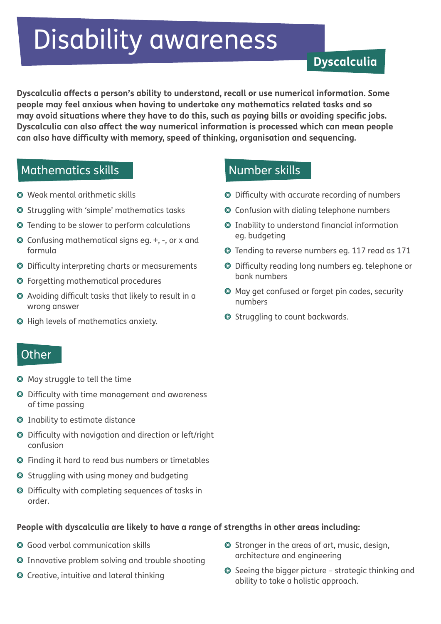# Disability awareness

# **Dyscalculia**

**Dyscalculia affects a person's ability to understand, recall or use numerical information. Some people may feel anxious when having to undertake any mathematics related tasks and so may avoid situations where they have to do this, such as paying bills or avoiding specific jobs. Dyscalculia can also affect the way numerical information is processed which can mean people can also have difficulty with memory, speed of thinking, organisation and sequencing.**

### Mathematics skills

- Weak mental arithmetic skills
- Struggling with 'simple' mathematics tasks
- Tending to be slower to perform calculations
- Confusing mathematical signs eg. +, -, or x and formula
- Difficulty interpreting charts or measurements
- Forgetting mathematical procedures
- Avoiding difficult tasks that likely to result in a wrong answer
- High levels of mathematics anxiety.

#### **Other**

- May struggle to tell the time
- Difficulty with time management and awareness of time passing
- Inability to estimate distance
- Difficulty with navigation and direction or left/right confusion
- Finding it hard to read bus numbers or timetables
- Struggling with using money and budgeting
- Difficulty with completing sequences of tasks in order.

#### **People with dyscalculia are likely to have a range of strengths in other areas including:**

- Good verbal communication skills
- Innovative problem solving and trouble shooting
- Creative, intuitive and lateral thinking
- Number skills
- Difficulty with accurate recording of numbers
- Confusion with dialing telephone numbers
- Inability to understand financial information eg. budgeting
- Tending to reverse numbers eg. 117 read as 171
- Difficulty reading long numbers eg. telephone or bank numbers
- May get confused or forget pin codes, security numbers
- **◎** Struggling to count backwards.

- Stronger in the areas of art, music, design, architecture and engineering
- $\odot$  Seeing the bigger picture strategic thinking and ability to take a holistic approach.